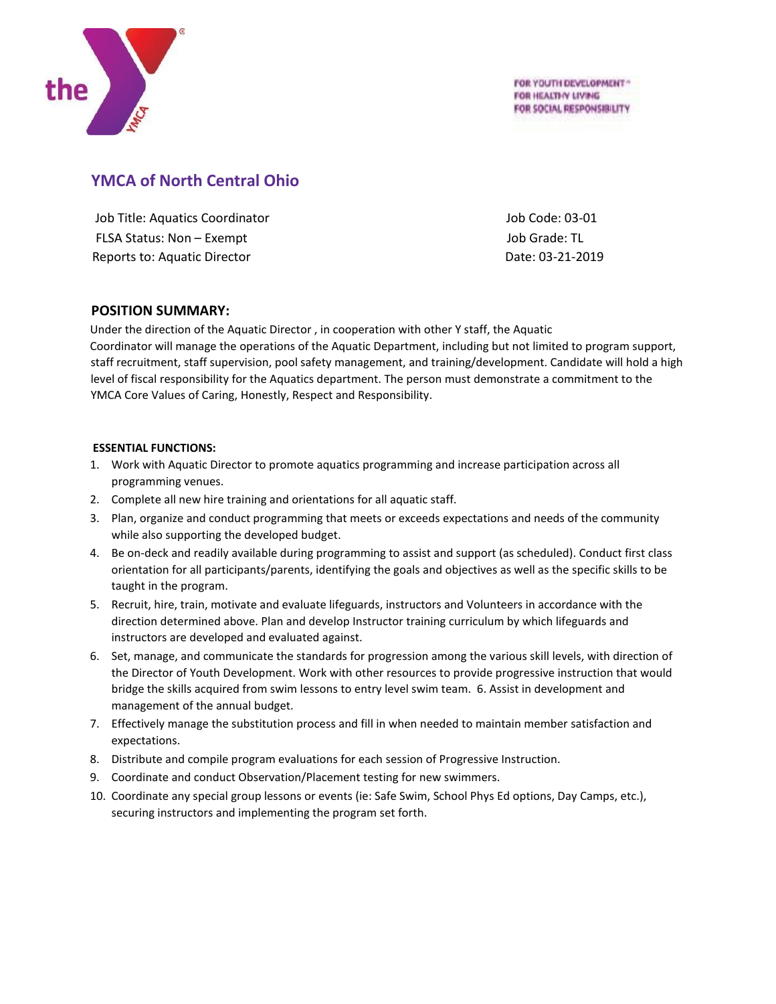

FOR YOUTH DEVELOPMENT \*\* FOR HEALTHY LIVING FOR SOCIAL RESPONSIBILITY

# **YMCA of North Central Ohio**

Job Title: Aquatics Coordinator Job Code: 03-01 FLSA Status: Non – Exempt The Voltage of the Voltage of The Voltage of The Voltage of The Voltage of The Voltage of The Voltage of The Voltage of The Voltage of The Voltage of The Voltage of The Voltage of The Voltage of T Reports to: Aquatic Director **Date: 03-21-2019** 

## **POSITION SUMMARY:**

Under the direction of the Aquatic Director , in cooperation with other Y staff, the Aquatic Coordinator will manage the operations of the Aquatic Department, including but not limited to program support, staff recruitment, staff supervision, pool safety management, and training/development. Candidate will hold a high level of fiscal responsibility for the Aquatics department. The person must demonstrate a commitment to the YMCA Core Values of Caring, Honestly, Respect and Responsibility.

### **ESSENTIAL FUNCTIONS:**

- 1. Work with Aquatic Director to promote aquatics programming and increase participation across all programming venues.
- 2. Complete all new hire training and orientations for all aquatic staff.
- 3. Plan, organize and conduct programming that meets or exceeds expectations and needs of the community while also supporting the developed budget.
- 4. Be on-deck and readily available during programming to assist and support (as scheduled). Conduct first class orientation for all participants/parents, identifying the goals and objectives as well as the specific skills to be taught in the program.
- 5. Recruit, hire, train, motivate and evaluate lifeguards, instructors and Volunteers in accordance with the direction determined above. Plan and develop Instructor training curriculum by which lifeguards and instructors are developed and evaluated against.
- 6. Set, manage, and communicate the standards for progression among the various skill levels, with direction of the Director of Youth Development. Work with other resources to provide progressive instruction that would bridge the skills acquired from swim lessons to entry level swim team. 6. Assist in development and management of the annual budget.
- 7. Effectively manage the substitution process and fill in when needed to maintain member satisfaction and expectations.
- 8. Distribute and compile program evaluations for each session of Progressive Instruction.
- 9. Coordinate and conduct Observation/Placement testing for new swimmers.
- 10. Coordinate any special group lessons or events (ie: Safe Swim, School Phys Ed options, Day Camps, etc.), securing instructors and implementing the program set forth.